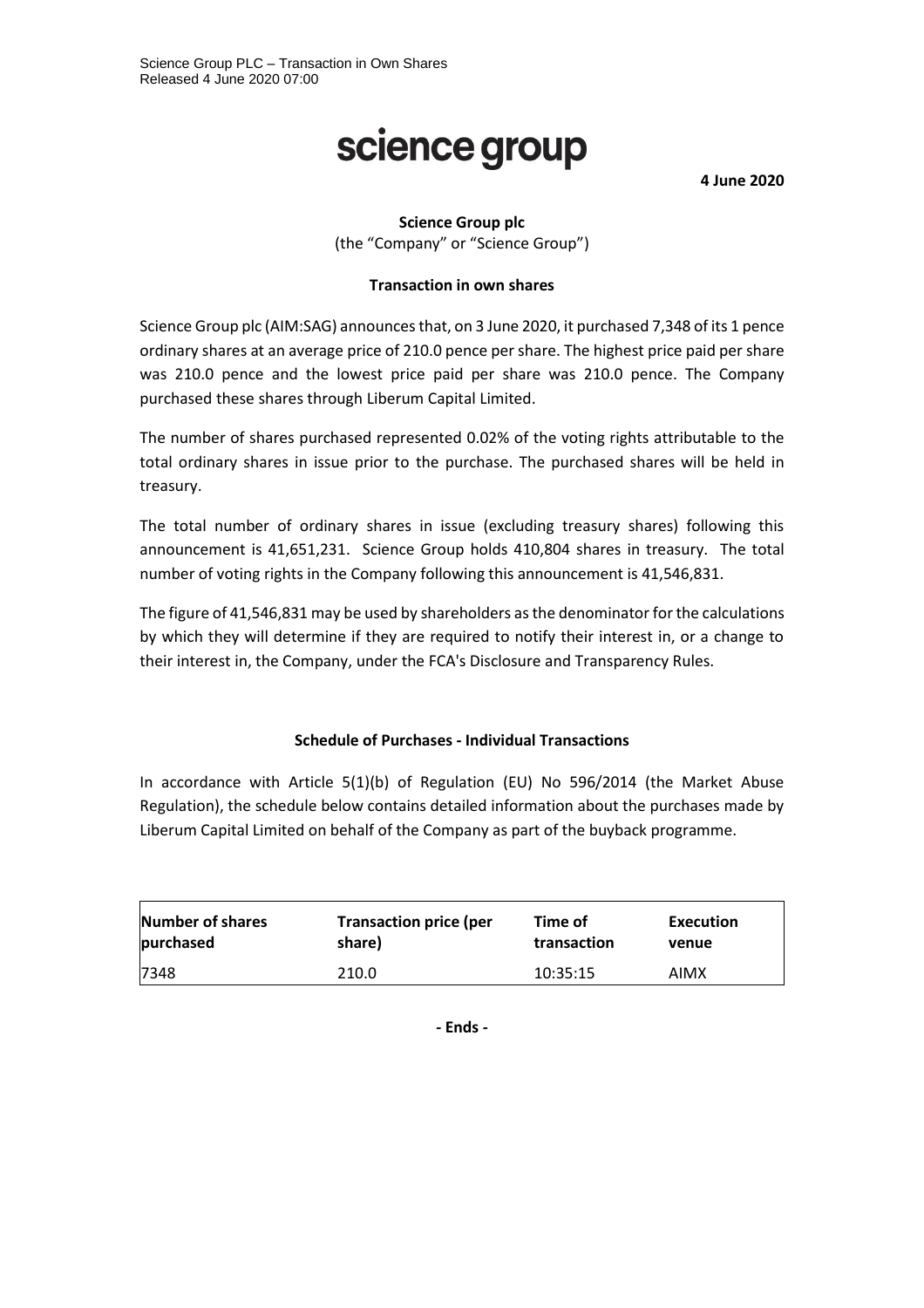# science group

**4 June 2020**

## **Science Group plc**

(the "Company" or "Science Group")

## **Transaction in own shares**

Science Group plc (AIM:SAG) announces that, on 3 June 2020, it purchased 7,348 of its 1 pence ordinary shares at an average price of 210.0 pence per share. The highest price paid per share was 210.0 pence and the lowest price paid per share was 210.0 pence. The Company purchased these shares through Liberum Capital Limited.

The number of shares purchased represented 0.02% of the voting rights attributable to the total ordinary shares in issue prior to the purchase. The purchased shares will be held in treasury.

The total number of ordinary shares in issue (excluding treasury shares) following this announcement is 41,651,231. Science Group holds 410,804 shares in treasury. The total number of voting rights in the Company following this announcement is 41,546,831.

The figure of 41,546,831 may be used by shareholders as the denominator for the calculations by which they will determine if they are required to notify their interest in, or a change to their interest in, the Company, under the FCA's Disclosure and Transparency Rules.

#### **Schedule of Purchases - Individual Transactions**

In accordance with Article 5(1)(b) of Regulation (EU) No 596/2014 (the Market Abuse Regulation), the schedule below contains detailed information about the purchases made by Liberum Capital Limited on behalf of the Company as part of the buyback programme.

| Number of shares | <b>Transaction price (per</b> | Time of     | Execution |
|------------------|-------------------------------|-------------|-----------|
| purchased        | share)                        | transaction | venue     |
| 7348             | 210.0                         | 10:35:15    | AIMX      |

**- Ends -**